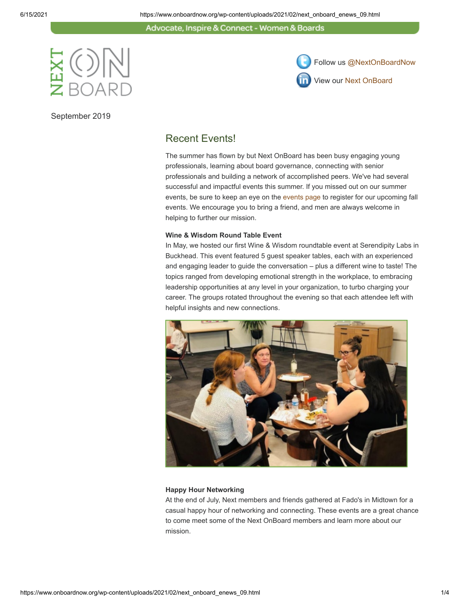Advocate, Inspire & Connect - Women & Boards



September 2019



### Recent Events!

The summer has flown by but Next OnBoard has been busy engaging young professionals, learning about board governance, connecting with senior professionals and building a network of accomplished peers. We've had several successful and impactful events this summer. If you missed out on our summer events, be sure to keep an eye on the [events page](https://www.onboardnow.org/news-events/events/) to register for our upcoming fall events. We encourage you to bring a friend, and men are always welcome in helping to further our mission.

#### **Wine & Wisdom Round Table Event**

In May, we hosted our first Wine & Wisdom roundtable event at Serendipity Labs in Buckhead. This event featured 5 guest speaker tables, each with an experienced and engaging leader to guide the conversation – plus a different wine to taste! The topics ranged from developing emotional strength in the workplace, to embracing leadership opportunities at any level in your organization, to turbo charging your career. The groups rotated throughout the evening so that each attendee left with helpful insights and new connections.



#### **Happy Hour Networking**

At the end of July, Next members and friends gathered at Fado's in Midtown for a casual happy hour of networking and connecting. These events are a great chance to come meet some of the Next OnBoard members and learn more about our mission.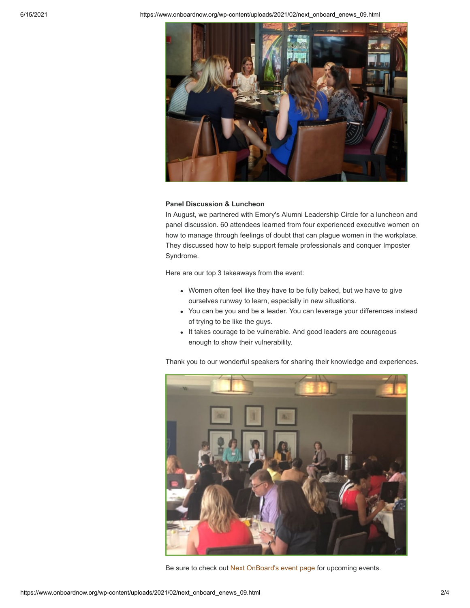6/15/2021 https://www.onboardnow.org/wp-content/uploads/2021/02/next\_onboard\_enews\_09.html



#### **Panel Discussion & Luncheon**

In August, we partnered with Emory's Alumni Leadership Circle for a luncheon and panel discussion. 60 attendees learned from four experienced executive women on how to manage through feelings of doubt that can plague women in the workplace. They discussed how to help support female professionals and conquer Imposter Syndrome.

Here are our top 3 takeaways from the event:

- Women often feel like they have to be fully baked, but we have to give ourselves runway to learn, especially in new situations.
- You can be you and be a leader. You can leverage your differences instead of trying to be like the guys.
- It takes courage to be vulnerable. And good leaders are courageous enough to show their vulnerability.

Thank you to our wonderful speakers for sharing their knowledge and experiences.



Be sure to check out [Next OnBoard's event page](https://www.onboardnow.org/news-events/events/) for upcoming events.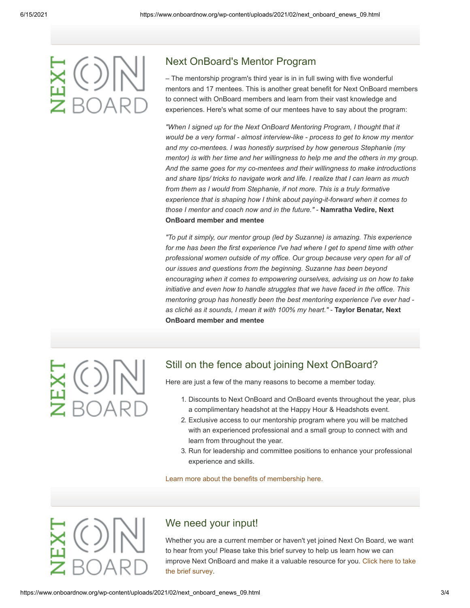## Next OnBoard's Mentor Program

– The mentorship program's third year is in in full swing with five wonderful mentors and 17 mentees. This is another great benefit for Next OnBoard members to connect with OnBoard members and learn from their vast knowledge and experiences. Here's what some of our mentees have to say about the program:

*"When I signed up for the Next OnBoard Mentoring Program, I thought that it would be a very formal - almost interview-like - process to get to know my mentor and my co-mentees. I was honestly surprised by how generous Stephanie (my mentor) is with her time and her willingness to help me and the others in my group. And the same goes for my co-mentees and their willingness to make introductions and share tips/ tricks to navigate work and life. I realize that I can learn as much from them as I would from Stephanie, if not more. This is a truly formative experience that is shaping how I think about paying-it-forward when it comes to those I mentor and coach now and in the future."* - **Namratha Vedire, Next OnBoard member and mentee**

*"To put it simply, our mentor group (led by Suzanne) is amazing. This experience for me has been the first experience I've had where I get to spend time with other professional women outside of my office. Our group because very open for all of our issues and questions from the beginning. Suzanne has been beyond encouraging when it comes to empowering ourselves, advising us on how to take initiative and even how to handle struggles that we have faced in the office. This mentoring group has honestly been the best mentoring experience I've ever had as cliché as it sounds, I mean it with 100% my heart."* - **Taylor Benatar, Next OnBoard member and mentee**

# Still on the fence about joining Next OnBoard?

Here are just a few of the many reasons to become a member today.

- 1. Discounts to Next OnBoard and OnBoard events throughout the year, plus a complimentary headshot at the Happy Hour & Headshots event.
- 2. Exclusive access to our mentorship program where you will be matched with an experienced professional and a small group to connect with and learn from throughout the year.
- 3. Run for leadership and committee positions to enhance your professional experience and skills.

#### [Learn more about the benefits of membership here.](https://www.onboardnow.org/next-onboard/next-membership/)

## We need your input!

Whether you are a current member or haven't yet joined Next On Board, we want to hear from you! Please take this brief survey to help us learn how we can [improve Next OnBoard and make it a valuable resource for you. Click here to take](https://www.surveymonkey.com/survey-taken/?sm=m3xZOh4IRYXiSeZ8KlSWeEfYhrJOJ14uNsjwiwtjbc7oUuhDhu140vY8oJnR5yfDmBmjTRkvbkLJtcQG8hFDkrFBDQKrDap0a5Z_2BpBGvRpQ_3D) the brief survey.